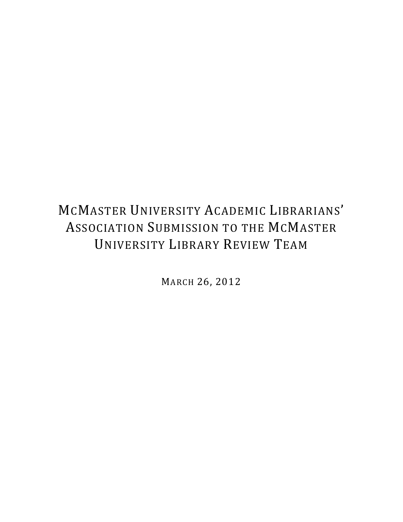# MCMASTER UNIVERSITY ACADEMIC LIBRARIANS' ASSOCIATION SUBMISSION TO THE MCMASTER UNIVERSITY LIBRARY REVIEW TEAM

MARCH 26, 2012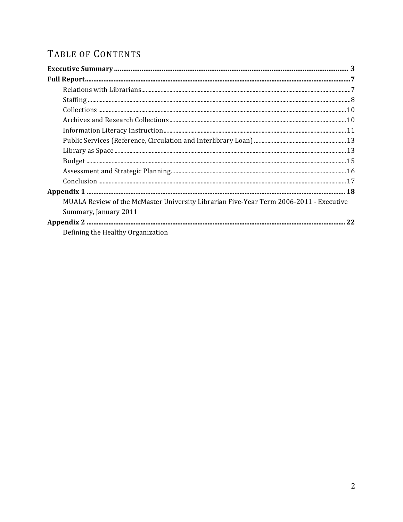# TABLE OF CONTENTS

| MUALA Review of the McMaster University Librarian Five-Year Term 2006-2011 - Executive |
|----------------------------------------------------------------------------------------|
| Summary, January 2011                                                                  |
|                                                                                        |
| Defining the Healthy Organization                                                      |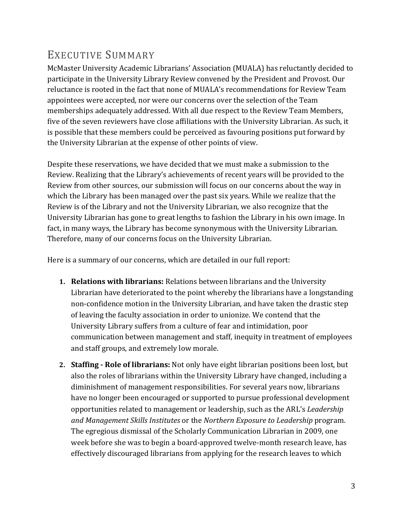# EXECUTIVE SUMMARY

McMaster University Academic Librarians' Association (MUALA) has reluctantly decided to participate in the University Library Review convened by the President and Provost. Our reluctance is rooted in the fact that none of MUALA's recommendations for Review Team appointees were accepted, nor were our concerns over the selection of the Team memberships adequately addressed. With all due respect to the Review Team Members, five of the seven reviewers have close affiliations with the University Librarian. As such, it is possible that these members could be perceived as favouring positions put forward by the University Librarian at the expense of other points of view.

Despite these reservations, we have decided that we must make a submission to the Review. Realizing that the Library's achievements of recent years will be provided to the Review from other sources, our submission will focus on our concerns about the way in which the Library has been managed over the past six years. While we realize that the Review is of the Library and not the University Librarian, we also recognize that the University Librarian has gone to great lengths to fashion the Library in his own image. In fact, in many ways, the Library has become synonymous with the University Librarian. Therefore, many of our concerns focus on the University Librarian.

Here is a summary of our concerns, which are detailed in our full report:

- **1. Relations with librarians:** Relations between librarians and the University Librarian have deteriorated to the point whereby the librarians have a longstanding non-confidence motion in the University Librarian, and have taken the drastic step of leaving the faculty association in order to unionize. We contend that the University Library suffers from a culture of fear and intimidation, poor communication between management and staff, inequity in treatment of employees and staff groups, and extremely low morale.
- **2. Staffing Role of librarians:** Not only have eight librarian positions been lost, but also the roles of librarians within the University Library have changed, including a diminishment of management responsibilities. For several years now, librarians have no longer been encouraged or supported to pursue professional development opportunities related to management or leadership, such as the ARL's *Leadership* and Management Skills Institutes or the Northern Exposure to Leadership program. The egregious dismissal of the Scholarly Communication Librarian in 2009, one week before she was to begin a board-approved twelve-month research leave, has effectively discouraged librarians from applying for the research leaves to which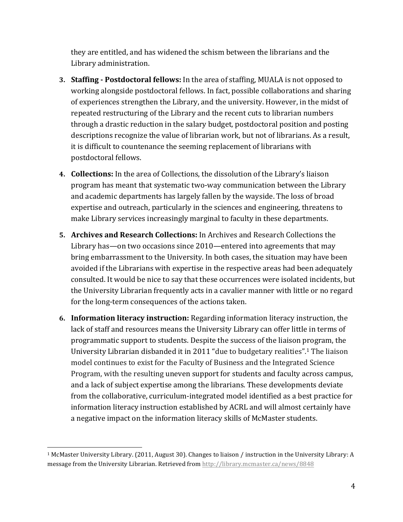they are entitled, and has widened the schism between the librarians and the Library administration.

- **3. Staffing Postdoctoral fellows:** In the area of staffing, MUALA is not opposed to working alongside postdoctoral fellows. In fact, possible collaborations and sharing of experiences strengthen the Library, and the university. However, in the midst of repeated restructuring of the Library and the recent cuts to librarian numbers through a drastic reduction in the salary budget, postdoctoral position and posting descriptions recognize the value of librarian work, but not of librarians. As a result, it is difficult to countenance the seeming replacement of librarians with postdoctoral fellows.
- **4. Collections:** In the area of Collections, the dissolution of the Library's liaison program has meant that systematic two-way communication between the Library and academic departments has largely fallen by the wayside. The loss of broad expertise and outreach, particularly in the sciences and engineering, threatens to make Library services increasingly marginal to faculty in these departments.
- **5. Archives and Research Collections:** In Archives and Research Collections the Library has—on two occasions since  $2010$ —entered into agreements that may bring embarrassment to the University. In both cases, the situation may have been avoided if the Librarians with expertise in the respective areas had been adequately consulted. It would be nice to say that these occurrences were isolated incidents, but the University Librarian frequently acts in a cavalier manner with little or no regard for the long-term consequences of the actions taken.
- **6.** Information literacy instruction: Regarding information literacy instruction, the lack of staff and resources means the University Library can offer little in terms of programmatic support to students. Despite the success of the liaison program, the University Librarian disbanded it in 2011 "due to budgetary realities".<sup>1</sup> The liaison model continues to exist for the Faculty of Business and the Integrated Science Program, with the resulting uneven support for students and faculty across campus, and a lack of subject expertise among the librarians. These developments deviate from the collaborative, curriculum-integrated model identified as a best practice for information literacy instruction established by ACRL and will almost certainly have a negative impact on the information literacy skills of McMaster students.

 

 $1$  McMaster University Library. (2011, August 30). Changes to liaison / instruction in the University Library: A message from the University Librarian. Retrieved from http://library.mcmaster.ca/news/8848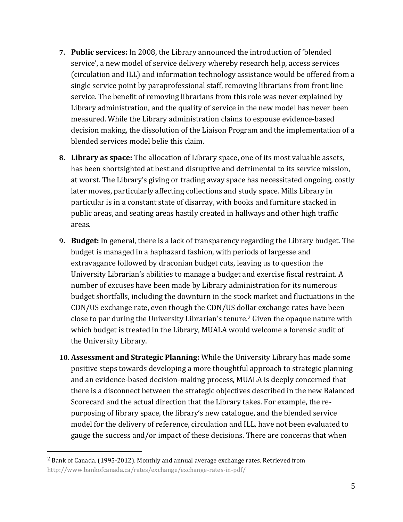- **7.** Public services: In 2008, the Library announced the introduction of 'blended service', a new model of service delivery whereby research help, access services (circulation and ILL) and information technology assistance would be offered from a single service point by paraprofessional staff, removing librarians from front line service. The benefit of removing librarians from this role was never explained by Library administration, and the quality of service in the new model has never been measured. While the Library administration claims to espouse evidence-based decision making, the dissolution of the Liaison Program and the implementation of a blended services model belie this claim.
- **8.** Library as space: The allocation of Library space, one of its most valuable assets, has been shortsighted at best and disruptive and detrimental to its service mission, at worst. The Library's giving or trading away space has necessitated ongoing, costly later moves, particularly affecting collections and study space. Mills Library in particular is in a constant state of disarray, with books and furniture stacked in public areas, and seating areas hastily created in hallways and other high traffic areas.
- **9. Budget:** In general, there is a lack of transparency regarding the Library budget. The budget is managed in a haphazard fashion, with periods of largesse and extravagance followed by draconian budget cuts, leaving us to question the University Librarian's abilities to manage a budget and exercise fiscal restraint. A number of excuses have been made by Library administration for its numerous budget shortfalls, including the downturn in the stock market and fluctuations in the CDN/US exchange rate, even though the CDN/US dollar exchange rates have been close to par during the University Librarian's tenure.<sup>2</sup> Given the opaque nature with which budget is treated in the Library, MUALA would welcome a forensic audit of the University Library.
- **10. Assessment and Strategic Planning:** While the University Library has made some positive steps towards developing a more thoughtful approach to strategic planning and an evidence-based decision-making process, MUALA is deeply concerned that there is a disconnect between the strategic objectives described in the new Balanced Scorecard and the actual direction that the Library takes. For example, the repurposing of library space, the library's new catalogue, and the blended service model for the delivery of reference, circulation and ILL, have not been evaluated to gauge the success and/or impact of these decisions. There are concerns that when

 

<sup>&</sup>lt;sup>2</sup> Bank of Canada. (1995-2012). Monthly and annual average exchange rates. Retrieved from http://www.bankofcanada.ca/rates/exchange/exchange-rates-in-pdf/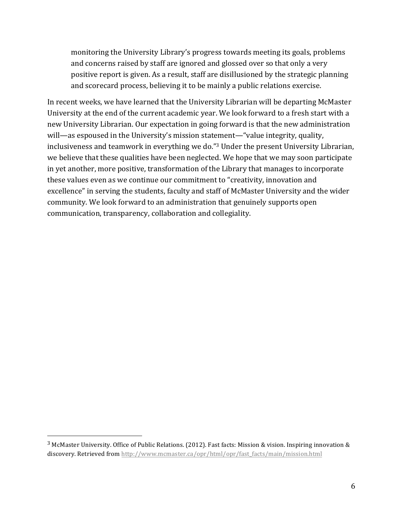monitoring the University Library's progress towards meeting its goals, problems and concerns raised by staff are ignored and glossed over so that only a very positive report is given. As a result, staff are disillusioned by the strategic planning and scorecard process, believing it to be mainly a public relations exercise.

In recent weeks, we have learned that the University Librarian will be departing McMaster University at the end of the current academic year. We look forward to a fresh start with a new University Librarian. Our expectation in going forward is that the new administration will—as espoused in the University's mission statement—"value integrity, quality, inclusiveness and teamwork in everything we do."<sup>3</sup> Under the present University Librarian, we believe that these qualities have been neglected. We hope that we may soon participate in yet another, more positive, transformation of the Library that manages to incorporate these values even as we continue our commitment to "creativity, innovation and excellence" in serving the students, faculty and staff of McMaster University and the wider community. We look forward to an administration that genuinely supports open communication, transparency, collaboration and collegiality.

 

 $3$  McMaster University. Office of Public Relations. (2012). Fast facts: Mission & vision. Inspiring innovation & discovery. Retrieved from http://www.mcmaster.ca/opr/html/opr/fast\_facts/main/mission.html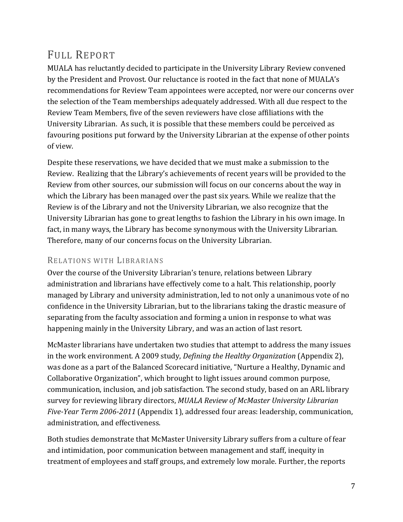## FULL REPORT

MUALA has reluctantly decided to participate in the University Library Review convened by the President and Provost. Our reluctance is rooted in the fact that none of MUALA's recommendations for Review Team appointees were accepted, nor were our concerns over the selection of the Team memberships adequately addressed. With all due respect to the Review Team Members, five of the seven reviewers have close affiliations with the University Librarian. As such, it is possible that these members could be perceived as favouring positions put forward by the University Librarian at the expense of other points of view.

Despite these reservations, we have decided that we must make a submission to the Review. Realizing that the Library's achievements of recent years will be provided to the Review from other sources, our submission will focus on our concerns about the way in which the Library has been managed over the past six years. While we realize that the Review is of the Library and not the University Librarian, we also recognize that the University Librarian has gone to great lengths to fashion the Library in his own image. In fact, in many ways, the Library has become synonymous with the University Librarian. Therefore, many of our concerns focus on the University Librarian.

## RELATIONS WITH LIBRARIANS

Over the course of the University Librarian's tenure, relations between Library administration and librarians have effectively come to a halt. This relationship, poorly managed by Library and university administration, led to not only a unanimous vote of no confidence in the University Librarian, but to the librarians taking the drastic measure of separating from the faculty association and forming a union in response to what was happening mainly in the University Library, and was an action of last resort.

McMaster librarians have undertaken two studies that attempt to address the many issues in the work environment. A 2009 study, *Defining the Healthy Organization* (Appendix 2), was done as a part of the Balanced Scorecard initiative, "Nurture a Healthy, Dynamic and Collaborative Organization", which brought to light issues around common purpose, communication, inclusion, and job satisfaction. The second study, based on an ARL library survey for reviewing library directors, *MUALA Review of McMaster University Librarian Five-Year Term 2006-2011* (Appendix 1), addressed four areas: leadership, communication, administration, and effectiveness.

Both studies demonstrate that McMaster University Library suffers from a culture of fear and intimidation, poor communication between management and staff, inequity in treatment of employees and staff groups, and extremely low morale. Further, the reports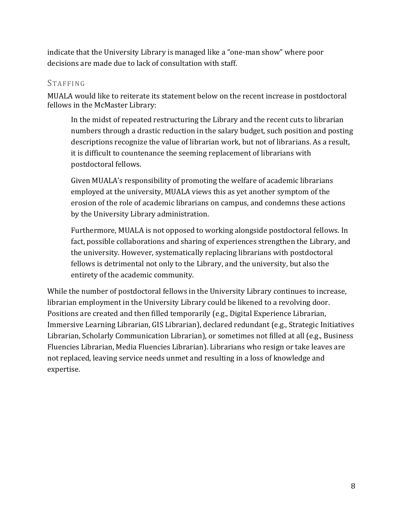indicate that the University Library is managed like a "one-man show" where poor decisions are made due to lack of consultation with staff.

## **STAFFING**

MUALA would like to reiterate its statement below on the recent increase in postdoctoral fellows in the McMaster Library:

In the midst of repeated restructuring the Library and the recent cuts to librarian numbers through a drastic reduction in the salary budget, such position and posting descriptions recognize the value of librarian work, but not of librarians. As a result, it is difficult to countenance the seeming replacement of librarians with postdoctoral fellows.

Given MUALA's responsibility of promoting the welfare of academic librarians employed at the university, MUALA views this as yet another symptom of the erosion of the role of academic librarians on campus, and condemns these actions by the University Library administration.

Furthermore, MUALA is not opposed to working alongside postdoctoral fellows. In fact, possible collaborations and sharing of experiences strengthen the Library, and the university. However, systematically replacing librarians with postdoctoral fellows is detrimental not only to the Library, and the university, but also the entirety of the academic community.

While the number of postdoctoral fellows in the University Library continues to increase, librarian employment in the University Library could be likened to a revolving door. Positions are created and then filled temporarily (e.g., Digital Experience Librarian, Immersive Learning Librarian, GIS Librarian), declared redundant (e.g., Strategic Initiatives Librarian, Scholarly Communication Librarian), or sometimes not filled at all (e.g., Business Fluencies Librarian, Media Fluencies Librarian). Librarians who resign or take leaves are not replaced, leaving service needs unmet and resulting in a loss of knowledge and expertise.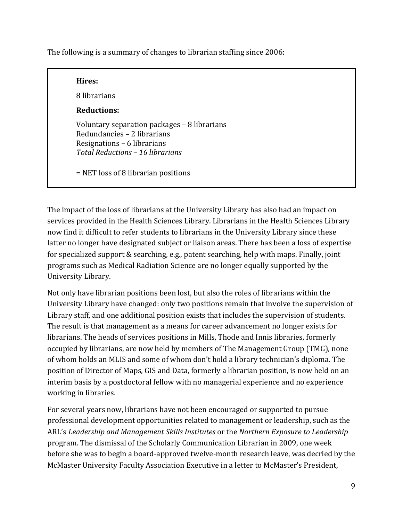The following is a summary of changes to librarian staffing since 2006:

#### **Hires:**

8 librarians

### **Reductions:**

Voluntary separation packages – 8 librarians Redundancies – 2 librarians Resignations – 6 librarians *Total Reductions – 16 librarians*

= NET loss of 8 librarian positions

The impact of the loss of librarians at the University Library has also had an impact on services provided in the Health Sciences Library. Librarians in the Health Sciences Library now find it difficult to refer students to librarians in the University Library since these latter no longer have designated subject or liaison areas. There has been a loss of expertise for specialized support  $&$  searching, e.g., patent searching, help with maps. Finally, joint programs such as Medical Radiation Science are no longer equally supported by the University Library.

Not only have librarian positions been lost, but also the roles of librarians within the University Library have changed: only two positions remain that involve the supervision of Library staff, and one additional position exists that includes the supervision of students. The result is that management as a means for career advancement no longer exists for librarians. The heads of services positions in Mills, Thode and Innis libraries, formerly occupied by librarians, are now held by members of The Management Group (TMG), none of whom holds an MLIS and some of whom don't hold a library technician's diploma. The position of Director of Maps, GIS and Data, formerly a librarian position, is now held on an interim basis by a postdoctoral fellow with no managerial experience and no experience working in libraries.

For several years now, librarians have not been encouraged or supported to pursue professional development opportunities related to management or leadership, such as the ARL's Leadership and Management Skills Institutes or the Northern Exposure to Leadership program. The dismissal of the Scholarly Communication Librarian in 2009, one week before she was to begin a board-approved twelve-month research leave, was decried by the McMaster University Faculty Association Executive in a letter to McMaster's President,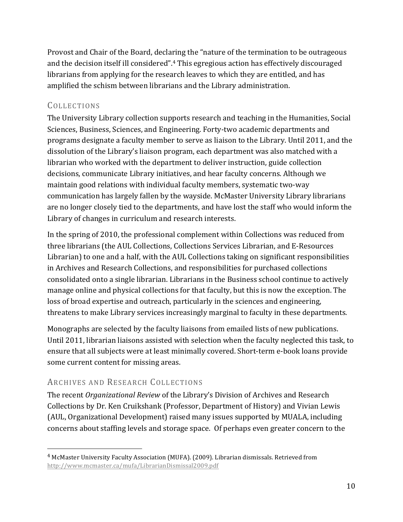Provost and Chair of the Board, declaring the "nature of the termination to be outrageous and the decision itself ill considered".<sup>4</sup> This egregious action has effectively discouraged librarians from applying for the research leaves to which they are entitled, and has amplified the schism between librarians and the Library administration.

## COLLECTIONS

The University Library collection supports research and teaching in the Humanities, Social Sciences, Business, Sciences, and Engineering. Forty-two academic departments and programs designate a faculty member to serve as liaison to the Library. Until 2011, and the dissolution of the Library's liaison program, each department was also matched with a librarian who worked with the department to deliver instruction, guide collection decisions, communicate Library initiatives, and hear faculty concerns. Although we maintain good relations with individual faculty members, systematic two-way communication has largely fallen by the wayside. McMaster University Library librarians are no longer closely tied to the departments, and have lost the staff who would inform the Library of changes in curriculum and research interests.

In the spring of 2010, the professional complement within Collections was reduced from three librarians (the AUL Collections, Collections Services Librarian, and E-Resources Librarian) to one and a half, with the AUL Collections taking on significant responsibilities in Archives and Research Collections, and responsibilities for purchased collections consolidated onto a single librarian. Librarians in the Business school continue to actively manage online and physical collections for that faculty, but this is now the exception. The loss of broad expertise and outreach, particularly in the sciences and engineering, threatens to make Library services increasingly marginal to faculty in these departments.

Monographs are selected by the faculty liaisons from emailed lists of new publications. Until 2011, librarian liaisons assisted with selection when the faculty neglected this task, to ensure that all subjects were at least minimally covered. Short-term e-book loans provide some current content for missing areas.

## ARCHIVES AND RESEARCH COLLECTIONS

 

The recent *Organizational Review* of the Library's Division of Archives and Research Collections by Dr. Ken Cruikshank (Professor, Department of History) and Vivian Lewis (AUL, Organizational Development) raised many issues supported by MUALA, including concerns about staffing levels and storage space. Of perhaps even greater concern to the

 $4$  McMaster University Faculty Association (MUFA). (2009). Librarian dismissals. Retrieved from http://www.mcmaster.ca/mufa/LibrarianDismissal2009.pdf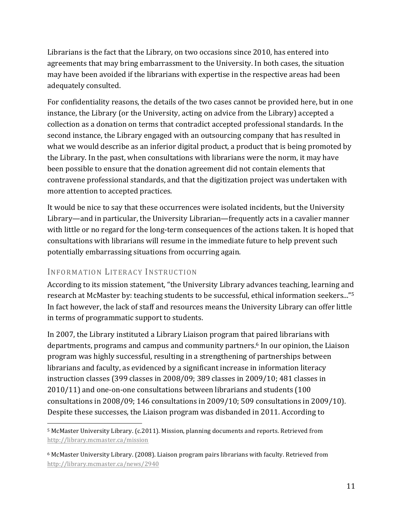Librarians is the fact that the Library, on two occasions since  $2010$ , has entered into agreements that may bring embarrassment to the University. In both cases, the situation may have been avoided if the librarians with expertise in the respective areas had been adequately consulted.

For confidentiality reasons, the details of the two cases cannot be provided here, but in one instance, the Library (or the University, acting on advice from the Library) accepted a collection as a donation on terms that contradict accepted professional standards. In the second instance, the Library engaged with an outsourcing company that has resulted in what we would describe as an inferior digital product, a product that is being promoted by the Library. In the past, when consultations with librarians were the norm, it may have been possible to ensure that the donation agreement did not contain elements that contravene professional standards, and that the digitization project was undertaken with more attention to accepted practices.

It would be nice to say that these occurrences were isolated incidents, but the University Library—and in particular, the University Librarian—frequently acts in a cavalier manner with little or no regard for the long-term consequences of the actions taken. It is hoped that consultations with librarians will resume in the immediate future to help prevent such potentially embarrassing situations from occurring again.

## INFORMATION LITERACY INSTRUCTION

According to its mission statement, "the University Library advances teaching, learning and research at McMaster by: teaching students to be successful, ethical information seekers..."<sup>5</sup> In fact however, the lack of staff and resources means the University Library can offer little in terms of programmatic support to students.

In 2007, the Library instituted a Library Liaison program that paired librarians with departments, programs and campus and community partners.<sup>6</sup> In our opinion, the Liaison program was highly successful, resulting in a strengthening of partnerships between librarians and faculty, as evidenced by a significant increase in information literacy instruction classes  $(399 \text{ classes in } 2008/09; 389 \text{ classes in } 2009/10; 481 \text{ classes in}$  $2010/11$ ) and one-on-one consultations between librarians and students  $(100)$ consultations in 2008/09; 146 consultations in 2009/10; 509 consultations in 2009/10). Despite these successes, the Liaison program was disbanded in 2011. According to

 <sup>5</sup> McMaster University Library. (c.2011). Mission, planning documents and reports. Retrieved from http://library.mcmaster.ca/mission

 $6$  McMaster University Library. (2008). Liaison program pairs librarians with faculty. Retrieved from http://library.mcmaster.ca/news/2940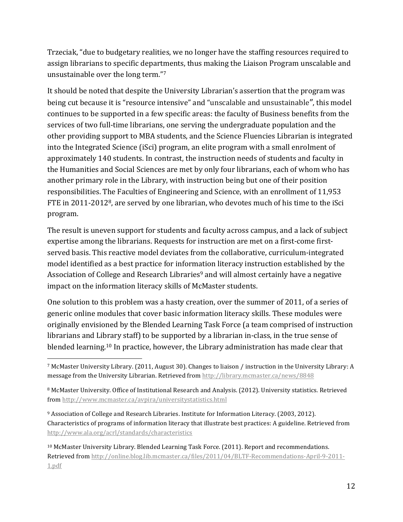Trzeciak, "due to budgetary realities, we no longer have the staffing resources required to assign librarians to specific departments, thus making the Liaison Program unscalable and unsustainable over the long term."7

It should be noted that despite the University Librarian's assertion that the program was being cut because it is "resource intensive" and "unscalable and unsustainable", this model continues to be supported in a few specific areas: the faculty of Business benefits from the services of two full-time librarians, one serving the undergraduate population and the other providing support to MBA students, and the Science Fluencies Librarian is integrated into the Integrated Science (iSci) program, an elite program with a small enrolment of approximately 140 students. In contrast, the instruction needs of students and faculty in the Humanities and Social Sciences are met by only four librarians, each of whom who has another primary role in the Library, with instruction being but one of their position responsibilities. The Faculties of Engineering and Science, with an enrollment of 11,953 FTE in 2011-2012<sup>8</sup>, are served by one librarian, who devotes much of his time to the iSci program.

The result is uneven support for students and faculty across campus, and a lack of subject expertise among the librarians. Requests for instruction are met on a first-come firstserved basis. This reactive model deviates from the collaborative, curriculum-integrated model identified as a best practice for information literacy instruction established by the Association of College and Research Libraries<sup>9</sup> and will almost certainly have a negative impact on the information literacy skills of McMaster students.

One solution to this problem was a hasty creation, over the summer of 2011, of a series of generic online modules that cover basic information literacy skills. These modules were originally envisioned by the Blended Learning Task Force (a team comprised of instruction librarians and Library staff) to be supported by a librarian in-class, in the true sense of blended learning.<sup>10</sup> In practice, however, the Library administration has made clear that

 

<sup>9</sup> Association of College and Research Libraries. Institute for Information Literacy. (2003, 2012). Characteristics of programs of information literacy that illustrate best practices: A guideline. Retrieved from http://www.ala.org/acrl/standards/characteristics

 $10$  McMaster University Library. Blended Learning Task Force. (2011). Report and recommendations. Retrieved from http://online.blog.lib.mcmaster.ca/files/2011/04/BLTF-Recommendations-April-9-2011-1.pdf

<sup>7</sup> McMaster University Library. (2011, August 30). Changes to liaison / instruction in the University Library: A message from the University Librarian. Retrieved from http://library.mcmaster.ca/news/8848

<sup>&</sup>lt;sup>8</sup> McMaster University. Office of Institutional Research and Analysis. (2012). University statistics. Retrieved from http://www.mcmaster.ca/avpira/universitystatistics.html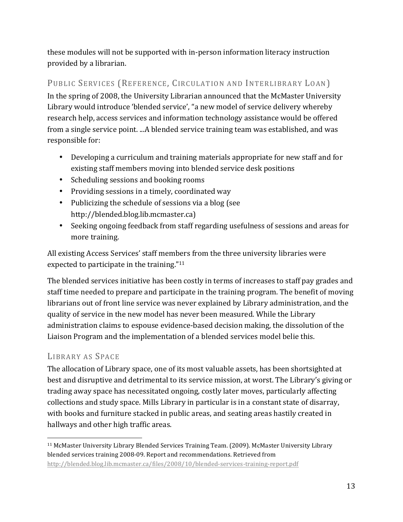these modules will not be supported with in-person information literacy instruction provided by a librarian.

## PUBLIC SERVICES (REFERENCE, CIRCULATION AND INTERLIBRARY LOAN)

In the spring of 2008, the University Librarian announced that the McMaster University Library would introduce 'blended service', "a new model of service delivery whereby research help, access services and information technology assistance would be offered from a single service point. ...A blended service training team was established, and was responsible for:

- Developing a curriculum and training materials appropriate for new staff and for existing staff members moving into blended service desk positions
- Scheduling sessions and booking rooms
- Providing sessions in a timely, coordinated way
- Publicizing the schedule of sessions via a blog (see http://blended.blog.lib.mcmaster.ca)
- Seeking ongoing feedback from staff regarding usefulness of sessions and areas for more training.

All existing Access Services' staff members from the three university libraries were expected to participate in the training."<sup>11</sup>

The blended services initiative has been costly in terms of increases to staff pay grades and staff time needed to prepare and participate in the training program. The benefit of moving librarians out of front line service was never explained by Library administration, and the quality of service in the new model has never been measured. While the Library administration claims to espouse evidence-based decision making, the dissolution of the Liaison Program and the implementation of a blended services model belie this.

## LIBRARY AS SPACE

 

The allocation of Library space, one of its most valuable assets, has been shortsighted at best and disruptive and detrimental to its service mission, at worst. The Library's giving or trading away space has necessitated ongoing, costly later moves, particularly affecting collections and study space. Mills Library in particular is in a constant state of disarray, with books and furniture stacked in public areas, and seating areas hastily created in hallways and other high traffic areas.

<sup>&</sup>lt;sup>11</sup> McMaster University Library Blended Services Training Team. (2009). McMaster University Library blended services training 2008-09. Report and recommendations. Retrieved from http://blended.blog.lib.mcmaster.ca/files/2008/10/blended-services-training-report.pdf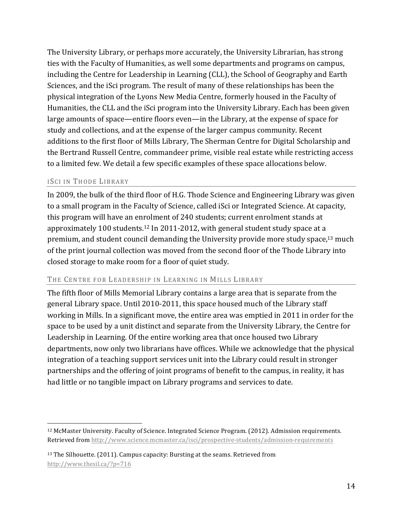The University Library, or perhaps more accurately, the University Librarian, has strong ties with the Faculty of Humanities, as well some departments and programs on campus, including the Centre for Leadership in Learning (CLL), the School of Geography and Earth Sciences, and the iSci program. The result of many of these relationships has been the physical integration of the Lyons New Media Centre, formerly housed in the Faculty of Humanities, the CLL and the iSci program into the University Library. Each has been given large amounts of space—entire floors even—in the Library, at the expense of space for study and collections, and at the expense of the larger campus community. Recent additions to the first floor of Mills Library, The Sherman Centre for Digital Scholarship and the Bertrand Russell Centre, commandeer prime, visible real estate while restricting access to a limited few. We detail a few specific examples of these space allocations below.

#### ISCI IN THODE LIBRARY

 

In 2009, the bulk of the third floor of H.G. Thode Science and Engineering Library was given to a small program in the Faculty of Science, called iSci or Integrated Science. At capacity, this program will have an enrolment of 240 students; current enrolment stands at approximately 100 students.<sup>12</sup> In 2011-2012, with general student study space at a premium, and student council demanding the University provide more study space, $^{13}$  much of the print journal collection was moved from the second floor of the Thode Library into closed storage to make room for a floor of quiet study.

#### THE CENTRE FOR LEADERSHIP IN LEARNING IN MILLS LIBRARY

The fifth floor of Mills Memorial Library contains a large area that is separate from the general Library space. Until 2010-2011, this space housed much of the Library staff working in Mills. In a significant move, the entire area was emptied in 2011 in order for the space to be used by a unit distinct and separate from the University Library, the Centre for Leadership in Learning. Of the entire working area that once housed two Library departments, now only two librarians have offices. While we acknowledge that the physical integration of a teaching support services unit into the Library could result in stronger partnerships and the offering of joint programs of benefit to the campus, in reality, it has had little or no tangible impact on Library programs and services to date.

<sup>&</sup>lt;sup>12</sup> McMaster University. Faculty of Science. Integrated Science Program. (2012). Admission requirements. Retrieved from http://www.science.mcmaster.ca/isci/prospective-students/admission-requirements

 $13$  The Silhouette. (2011). Campus capacity: Bursting at the seams. Retrieved from http://www.thesil.ca/?p=716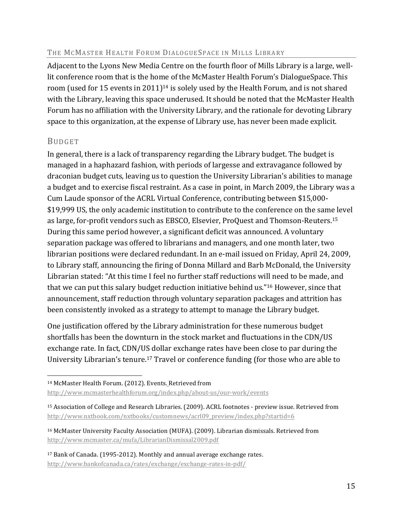#### THE MCMASTER HEALTH FORUM DIALOGUESPACE IN MILLS LIBRARY

Adjacent to the Lyons New Media Centre on the fourth floor of Mills Library is a large, welllit conference room that is the home of the McMaster Health Forum's DialogueSpace. This room (used for 15 events in 2011)<sup>14</sup> is solely used by the Health Forum, and is not shared with the Library, leaving this space underused. It should be noted that the McMaster Health Forum has no affiliation with the University Library, and the rationale for devoting Library space to this organization, at the expense of Library use, has never been made explicit.

#### BUDGET

In general, there is a lack of transparency regarding the Library budget. The budget is managed in a haphazard fashion, with periods of largesse and extravagance followed by draconian budget cuts, leaving us to question the University Librarian's abilities to manage a budget and to exercise fiscal restraint. As a case in point, in March 2009, the Library was a Cum Laude sponsor of the ACRL Virtual Conference, contributing between \$15,000-\$19,999 US, the only academic institution to contribute to the conference on the same level as large, for-profit vendors such as EBSCO, Elsevier, ProQuest and Thomson-Reuters.<sup>15</sup> During this same period however, a significant deficit was announced. A voluntary separation package was offered to librarians and managers, and one month later, two librarian positions were declared redundant. In an e-mail issued on Friday, April 24, 2009, to Library staff, announcing the firing of Donna Millard and Barb McDonald, the University Librarian stated: "At this time I feel no further staff reductions will need to be made, and that we can put this salary budget reduction initiative behind us." $16$  However, since that announcement, staff reduction through voluntary separation packages and attrition has been consistently invoked as a strategy to attempt to manage the Library budget.

One justification offered by the Library administration for these numerous budget shortfalls has been the downturn in the stock market and fluctuations in the CDN/US exchange rate. In fact, CDN/US dollar exchange rates have been close to par during the University Librarian's tenure.<sup>17</sup> Travel or conference funding (for those who are able to

 <sup>14</sup> McMaster Health Forum. (2012). Events. Retrieved from

http://www.mcmasterhealthforum.org/index.php/about-us/our-work/events

<sup>&</sup>lt;sup>15</sup> Association of College and Research Libraries. (2009). ACRL footnotes - preview issue. Retrieved from http://www.nxtbook.com/nxtbooks/customnews/acrl09\_preview/index.php?startid=6

<sup>&</sup>lt;sup>16</sup> McMaster University Faculty Association (MUFA). (2009). Librarian dismissals. Retrieved from http://www.mcmaster.ca/mufa/LibrarianDismissal2009.pdf

<sup>&</sup>lt;sup>17</sup> Bank of Canada. (1995-2012). Monthly and annual average exchange rates. http://www.bankofcanada.ca/rates/exchange/exchange-rates-in-pdf/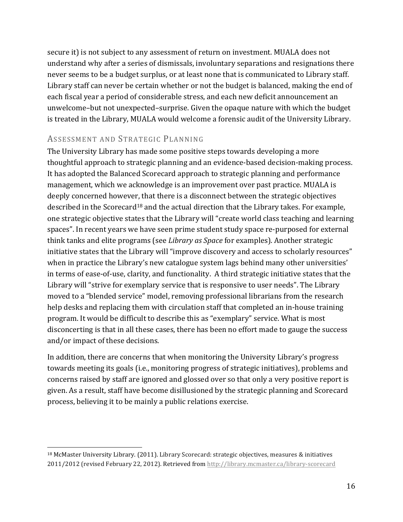secure it) is not subject to any assessment of return on investment. MUALA does not understand why after a series of dismissals, involuntary separations and resignations there never seems to be a budget surplus, or at least none that is communicated to Library staff. Library staff can never be certain whether or not the budget is balanced, making the end of each fiscal year a period of considerable stress, and each new deficit announcement an unwelcome–but not unexpected–surprise. Given the opaque nature with which the budget is treated in the Library, MUALA would welcome a forensic audit of the University Library.

### ASSESSMENT AND STRATEGIC PLANNING

 

The University Library has made some positive steps towards developing a more thoughtful approach to strategic planning and an evidence-based decision-making process. It has adopted the Balanced Scorecard approach to strategic planning and performance management, which we acknowledge is an improvement over past practice. MUALA is deeply concerned however, that there is a disconnect between the strategic objectives described in the Scorecard<sup>18</sup> and the actual direction that the Library takes. For example, one strategic objective states that the Library will "create world class teaching and learning spaces". In recent years we have seen prime student study space re-purposed for external think tanks and elite programs (see *Library as Space* for examples). Another strategic initiative states that the Library will "improve discovery and access to scholarly resources" when in practice the Library's new catalogue system lags behind many other universities' in terms of ease-of-use, clarity, and functionality. A third strategic initiative states that the Library will "strive for exemplary service that is responsive to user needs". The Library moved to a "blended service" model, removing professional librarians from the research help desks and replacing them with circulation staff that completed an in-house training program. It would be difficult to describe this as "exemplary" service. What is most disconcerting is that in all these cases, there has been no effort made to gauge the success and/or impact of these decisions.

In addition, there are concerns that when monitoring the University Library's progress towards meeting its goals (i.e., monitoring progress of strategic initiatives), problems and concerns raised by staff are ignored and glossed over so that only a very positive report is given. As a result, staff have become disillusioned by the strategic planning and Scorecard process, believing it to be mainly a public relations exercise.

<sup>&</sup>lt;sup>18</sup> McMaster University Library. (2011). Library Scorecard: strategic objectives, measures & initiatives 2011/2012 (revised February 22, 2012). Retrieved from http://library.mcmaster.ca/library-scorecard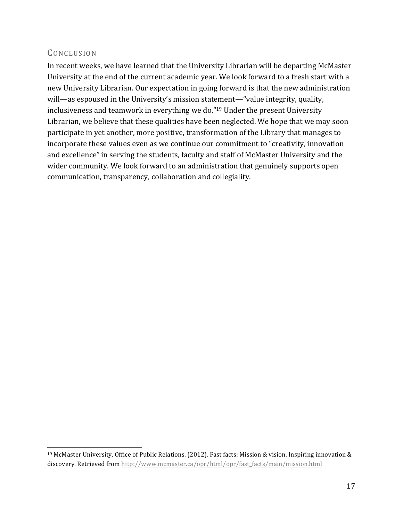## CONCLUSION

 

In recent weeks, we have learned that the University Librarian will be departing McMaster University at the end of the current academic year. We look forward to a fresh start with a new University Librarian. Our expectation in going forward is that the new administration will—as espoused in the University's mission statement—"value integrity, quality, inclusiveness and teamwork in everything we do."<sup>19</sup> Under the present University Librarian, we believe that these qualities have been neglected. We hope that we may soon participate in yet another, more positive, transformation of the Library that manages to incorporate these values even as we continue our commitment to "creativity, innovation and excellence" in serving the students, faculty and staff of McMaster University and the wider community. We look forward to an administration that genuinely supports open communication, transparency, collaboration and collegiality.

<sup>&</sup>lt;sup>19</sup> McMaster University. Office of Public Relations. (2012). Fast facts: Mission & vision. Inspiring innovation & discovery. Retrieved from http://www.mcmaster.ca/opr/html/opr/fast\_facts/main/mission.html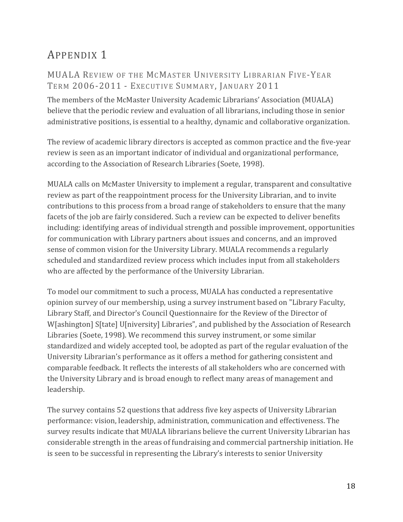# APPENDIX<sub>1</sub>

## MUALA REVIEW OF THE MCMASTER UNIVERSITY LIBRARIAN FIVE-YEAR TERM 2006-2011 - EXECUTIVE SUMMARY, JANUARY 2011

The members of the McMaster University Academic Librarians' Association (MUALA) believe that the periodic review and evaluation of all librarians, including those in senior administrative positions, is essential to a healthy, dynamic and collaborative organization.

The review of academic library directors is accepted as common practice and the five-year review is seen as an important indicator of individual and organizational performance, according to the Association of Research Libraries (Soete, 1998).

MUALA calls on McMaster University to implement a regular, transparent and consultative review as part of the reappointment process for the University Librarian, and to invite contributions to this process from a broad range of stakeholders to ensure that the many facets of the job are fairly considered. Such a review can be expected to deliver benefits including: identifying areas of individual strength and possible improvement, opportunities for communication with Library partners about issues and concerns, and an improved sense of common vision for the University Library. MUALA recommends a regularly scheduled and standardized review process which includes input from all stakeholders who are affected by the performance of the University Librarian.

To model our commitment to such a process, MUALA has conducted a representative opinion survey of our membership, using a survey instrument based on "Library Faculty, Library Staff, and Director's Council Questionnaire for the Review of the Director of W[ashington] S[tate] U[niversity] Libraries", and published by the Association of Research Libraries (Soete, 1998). We recommend this survey instrument, or some similar standardized and widely accepted tool, be adopted as part of the regular evaluation of the University Librarian's performance as it offers a method for gathering consistent and comparable feedback. It reflects the interests of all stakeholders who are concerned with the University Library and is broad enough to reflect many areas of management and leadership.

The survey contains 52 questions that address five key aspects of University Librarian performance: vision, leadership, administration, communication and effectiveness. The survey results indicate that MUALA librarians believe the current University Librarian has considerable strength in the areas of fundraising and commercial partnership initiation. He is seen to be successful in representing the Library's interests to senior University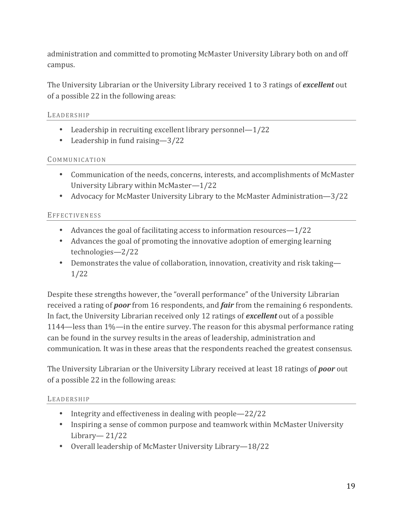administration and committed to promoting McMaster University Library both on and off campus.

The University Librarian or the University Library received 1 to 3 ratings of *excellent* out of a possible 22 in the following areas:

#### LEADERSHIP

- Leadership in recruiting excellent library personnel— $1/22$
- Leadership in fund raising  $-3/22$

#### COMMUNICATION

- Communication of the needs, concerns, interests, and accomplishments of McMaster University Library within McMaster-1/22
- Advocacy for McMaster University Library to the McMaster Administration—3/22

#### **EFFECTIVENESS**

- Advances the goal of facilitating access to information resources— $1/22$
- Advances the goal of promoting the innovative adoption of emerging learning technologies—2/22
- Demonstrates the value of collaboration, innovation, creativity and risk taking— 1/22

Despite these strengths however, the "overall performance" of the University Librarian received a rating of *poor* from 16 respondents, and *fair* from the remaining 6 respondents. In fact, the University Librarian received only 12 ratings of **excellent** out of a possible 1144—less than  $1\%$ —in the entire survey. The reason for this abysmal performance rating can be found in the survey results in the areas of leadership, administration and communication. It was in these areas that the respondents reached the greatest consensus.

The University Librarian or the University Library received at least 18 ratings of *poor* out of a possible 22 in the following areas:

#### LEADERSHIP

- Integrity and effectiveness in dealing with people—22/22
- Inspiring a sense of common purpose and teamwork within McMaster University Library— 21/22
- Overall leadership of McMaster University Library-18/22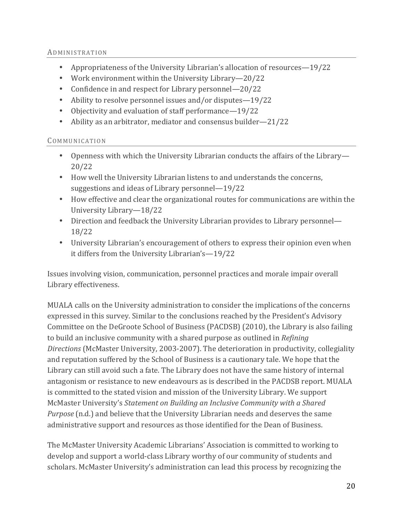#### ADMINISTRATION

- Appropriateness of the University Librarian's allocation of resources—19/22
- Work environment within the University Library—20/22
- Confidence in and respect for Library personnel—20/22
- Ability to resolve personnel issues and/or disputes— $19/22$
- Objectivity and evaluation of staff performance—19/22
- Ability as an arbitrator, mediator and consensus builder—21/22

#### COMMUNICATION

- Openness with which the University Librarian conducts the affairs of the Library-20/22
- How well the University Librarian listens to and understands the concerns, suggestions and ideas of Library personnel— $19/22$
- How effective and clear the organizational routes for communications are within the University Library-18/22
- Direction and feedback the University Librarian provides to Library personnel— 18/22
- University Librarian's encouragement of others to express their opinion even when it differs from the University Librarian's-19/22

Issues involving vision, communication, personnel practices and morale impair overall Library effectiveness.

MUALA calls on the University administration to consider the implications of the concerns expressed in this survey. Similar to the conclusions reached by the President's Advisory Committee on the DeGroote School of Business (PACDSB) (2010), the Library is also failing to build an inclusive community with a shared purpose as outlined in *Refining Directions* (McMaster University, 2003-2007). The deterioration in productivity, collegiality and reputation suffered by the School of Business is a cautionary tale. We hope that the Library can still avoid such a fate. The Library does not have the same history of internal antagonism or resistance to new endeavours as is described in the PACDSB report. MUALA is committed to the stated vision and mission of the University Library. We support McMaster University's *Statement on Building an Inclusive Community with a Shared Purpose* (n.d.) and believe that the University Librarian needs and deserves the same administrative support and resources as those identified for the Dean of Business.

The McMaster University Academic Librarians' Association is committed to working to develop and support a world-class Library worthy of our community of students and scholars. McMaster University's administration can lead this process by recognizing the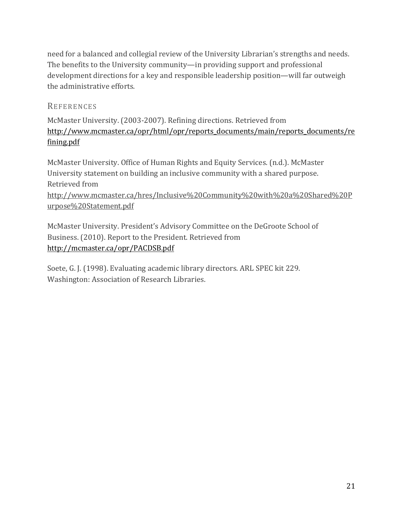need for a balanced and collegial review of the University Librarian's strengths and needs. The benefits to the University community—in providing support and professional development directions for a key and responsible leadership position—will far outweigh the administrative efforts.

#### REFERENCES

McMaster University. (2003-2007). Refining directions. Retrieved from http://www.mcmaster.ca/opr/html/opr/reports\_documents/main/reports\_documents/re fining.pdf

McMaster University. Office of Human Rights and Equity Services. (n.d.). McMaster University statement on building an inclusive community with a shared purpose. Retrieved from http://www.mcmaster.ca/hres/Inclusive%20Community%20with%20a%20Shared%20P urpose%20Statement.pdf

McMaster University. President's Advisory Committee on the DeGroote School of Business. (2010). Report to the President. Retrieved from http://mcmaster.ca/opr/PACDSB.pdf

Soete, G. J. (1998). Evaluating academic library directors. ARL SPEC kit 229. Washington: Association of Research Libraries.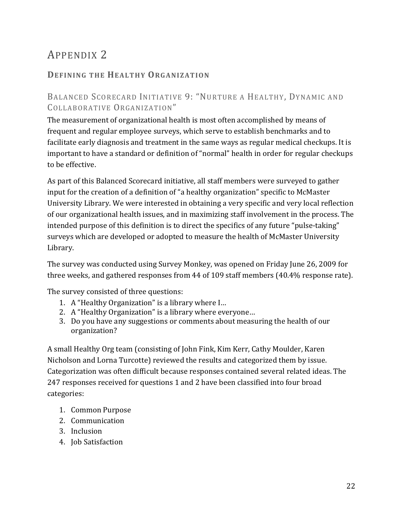# APPENDIX 2

## **DEFINING THE HEALTHY ORGANIZATION**

## BALANCED SCORECARD INITIATIVE 9: "NURTURE A HEALTHY, DYNAMIC AND COLLABORATIVE ORGANIZATION"

The measurement of organizational health is most often accomplished by means of frequent and regular employee surveys, which serve to establish benchmarks and to facilitate early diagnosis and treatment in the same ways as regular medical checkups. It is important to have a standard or definition of "normal" health in order for regular checkups to be effective.

As part of this Balanced Scorecard initiative, all staff members were surveyed to gather input for the creation of a definition of "a healthy organization" specific to McMaster University Library. We were interested in obtaining a very specific and very local reflection of our organizational health issues, and in maximizing staff involvement in the process. The intended purpose of this definition is to direct the specifics of any future "pulse-taking" surveys which are developed or adopted to measure the health of McMaster University Library.

The survey was conducted using Survey Monkey, was opened on Friday June 26, 2009 for three weeks, and gathered responses from 44 of 109 staff members (40.4% response rate).

The survey consisted of three questions:

- 1. A "Healthy Organization" is a library where I...
- 2. A "Healthy Organization" is a library where everyone...
- 3. Do you have any suggestions or comments about measuring the health of our organization?

A small Healthy Org team (consisting of John Fink, Kim Kerr, Cathy Moulder, Karen Nicholson and Lorna Turcotte) reviewed the results and categorized them by issue. Categorization was often difficult because responses contained several related ideas. The 247 responses received for questions 1 and 2 have been classified into four broad categories:

- 1. Common Purpose
- 2. Communication
- 3. Inclusion
- 4. Job Satisfaction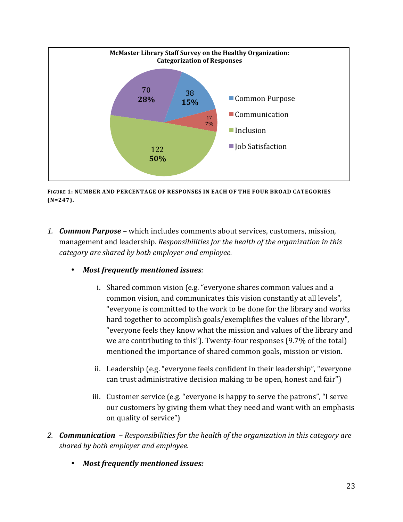

**FIGURE 1: NUMBER AND PERCENTAGE OF RESPONSES IN EACH OF THE FOUR BROAD CATEGORIES (N=247).**

- 1. *Common Purpose* which includes comments about services, customers, mission, management and leadership. Responsibilities for the health of the organization in this category are shared by both employer and employee.
	- Most frequently mentioned issues:
		- i. Shared common vision (e.g. "everyone shares common values and a common vision, and communicates this vision constantly at all levels". "everyone is committed to the work to be done for the library and works hard together to accomplish goals/exemplifies the values of the library", "everyone feels they know what the mission and values of the library and we are contributing to this"). Twenty-four responses  $(9.7%$  of the total) mentioned the importance of shared common goals, mission or vision.
		- ii. Leadership (e.g. "everyone feels confident in their leadership", "everyone can trust administrative decision making to be open, honest and fair")
		- iii. Customer service  $(e.g., "everyone is happy to serve the patterns", "I serve$ our customers by giving them what they need and want with an emphasis on quality of service")
- 2. *Communication* Responsibilities for the health of the organization in this category are *shared by both employer and employee.*
	- Most frequently mentioned *issues:*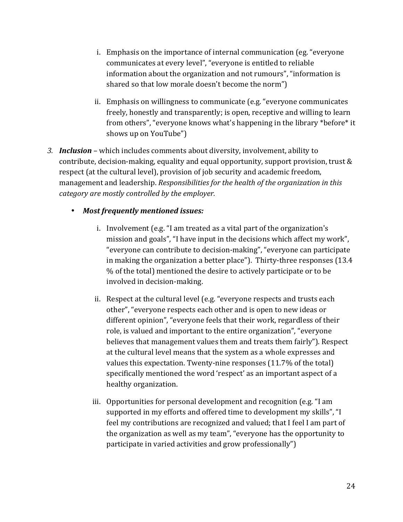- i. Emphasis on the importance of internal communication (eg. "everyone" communicates at every level", "everyone is entitled to reliable information about the organization and not rumours", "information is shared so that low morale doesn't become the norm")
- ii. Emphasis on willingness to communicate (e.g. "everyone communicates") freely, honestly and transparently; is open, receptive and willing to learn from others", "everyone knows what's happening in the library \*before\* it shows up on YouTube")
- *3. Inclusion* which includes comments about diversity, involvement, ability to contribute, decision-making, equality and equal opportunity, support provision, trust  $\&$ respect (at the cultural level), provision of job security and academic freedom, management and leadership. *Responsibilities for the health of the organization in this* category are mostly controlled by the employer.
	- *Most frequently mentioned issues:*
		- i. Involvement (e.g. "I am treated as a vital part of the organization's mission and goals", "I have input in the decisions which affect my work", "everyone can contribute to decision-making", "everyone can participate in making the organization a better place"). Thirty-three responses  $(13.4)$ % of the total) mentioned the desire to actively participate or to be involved in decision-making.
		- ii. Respect at the cultural level (e.g. "everyone respects and trusts each other", "everyone respects each other and is open to new ideas or different opinion", "everyone feels that their work, regardless of their role, is valued and important to the entire organization", "everyone believes that management values them and treats them fairly"). Respect at the cultural level means that the system as a whole expresses and values this expectation. Twenty-nine responses  $(11.7\% \text{ of the total})$ specifically mentioned the word 'respect' as an important aspect of a healthy organization.
		- iii. Opportunities for personal development and recognition (e.g. "I am supported in my efforts and offered time to development my skills", "I feel my contributions are recognized and valued; that I feel I am part of the organization as well as my team", "everyone has the opportunity to participate in varied activities and grow professionally")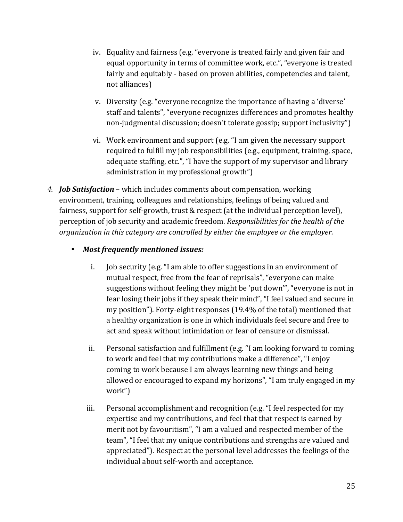- iv. Equality and fairness (e.g. "everyone is treated fairly and given fair and equal opportunity in terms of committee work, etc.", "everyone is treated fairly and equitably - based on proven abilities, competencies and talent, not alliances)
- v. Diversity (e.g. "everyone recognize the importance of having a 'diverse' staff and talents", "everyone recognizes differences and promotes healthy non-judgmental discussion; doesn't tolerate gossip; support inclusivity")
- vi. Work environment and support (e.g.  $\dot{u}$  am given the necessary support required to fulfill my job responsibilities (e.g., equipment, training, space, adequate staffing, etc.", "I have the support of my supervisor and library administration in my professional growth")
- *4. Job Satisfaction* which includes comments about compensation, working environment, training, colleagues and relationships, feelings of being valued and fairness, support for self-growth, trust  $&$  respect (at the individual perception level), perception of job security and academic freedom. *Responsibilities for the health of the organization* in this category are controlled by either the employee or the employer.
	- Most frequently mentioned *issues:* 
		- i. Job security (e.g. "I am able to offer suggestions in an environment of mutual respect, free from the fear of reprisals", "everyone can make suggestions without feeling they might be 'put down'", "everyone is not in fear losing their jobs if they speak their mind", "I feel valued and secure in my position"). Forty-eight responses (19.4% of the total) mentioned that a healthy organization is one in which individuals feel secure and free to act and speak without intimidation or fear of censure or dismissal.
		- ii. Personal satisfaction and fulfillment (e.g. "I am looking forward to coming to work and feel that my contributions make a difference", "I enjoy coming to work because I am always learning new things and being allowed or encouraged to expand my horizons", "I am truly engaged in my work")
		- iii. Personal accomplishment and recognition (e.g. "I feel respected for my expertise and my contributions, and feel that that respect is earned by merit not by favouritism", "I am a valued and respected member of the team", "I feel that my unique contributions and strengths are valued and appreciated"). Respect at the personal level addresses the feelings of the individual about self-worth and acceptance.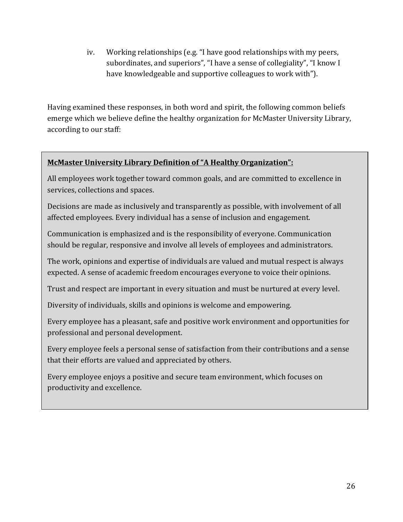iv. Working relationships (e.g. "I have good relationships with my peers, subordinates, and superiors", "I have a sense of collegiality", "I know I have knowledgeable and supportive colleagues to work with").

Having examined these responses, in both word and spirit, the following common beliefs emerge which we believe define the healthy organization for McMaster University Library, according to our staff:

## **McMaster University Library Definition of "A Healthy Organization":**

All employees work together toward common goals, and are committed to excellence in services, collections and spaces.

Decisions are made as inclusively and transparently as possible, with involvement of all affected employees. Every individual has a sense of inclusion and engagement.

Communication is emphasized and is the responsibility of everyone. Communication should be regular, responsive and involve all levels of employees and administrators.

The work, opinions and expertise of individuals are valued and mutual respect is always expected. A sense of academic freedom encourages everyone to voice their opinions.

Trust and respect are important in every situation and must be nurtured at every level.

Diversity of individuals, skills and opinions is welcome and empowering.

Every employee has a pleasant, safe and positive work environment and opportunities for professional and personal development.

Every employee feels a personal sense of satisfaction from their contributions and a sense that their efforts are valued and appreciated by others.

Every employee enjoys a positive and secure team environment, which focuses on productivity and excellence.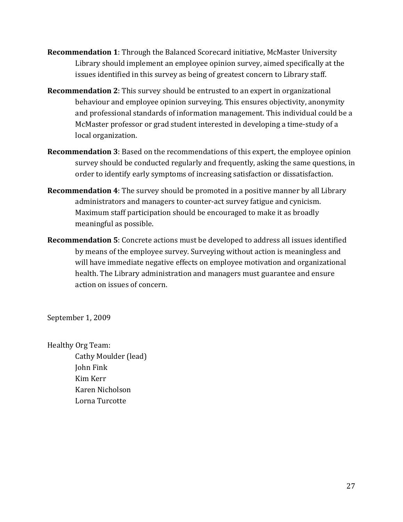- **Recommendation 1**: Through the Balanced Scorecard initiative, McMaster University Library should implement an employee opinion survey, aimed specifically at the issues identified in this survey as being of greatest concern to Library staff.
- **Recommendation 2**: This survey should be entrusted to an expert in organizational behaviour and employee opinion surveying. This ensures objectivity, anonymity and professional standards of information management. This individual could be a McMaster professor or grad student interested in developing a time-study of a local organization.
- **Recommendation 3**: Based on the recommendations of this expert, the employee opinion survey should be conducted regularly and frequently, asking the same questions, in order to identify early symptoms of increasing satisfaction or dissatisfaction.
- **Recommendation 4**: The survey should be promoted in a positive manner by all Library administrators and managers to counter-act survey fatigue and cynicism. Maximum staff participation should be encouraged to make it as broadly meaningful as possible.
- **Recommendation 5**: Concrete actions must be developed to address all issues identified by means of the employee survey. Surveying without action is meaningless and will have immediate negative effects on employee motivation and organizational health. The Library administration and managers must guarantee and ensure action on issues of concern.

September 1, 2009

Healthy Org Team: Cathy Moulder (lead) John Fink Kim Kerr Karen Nicholson Lorna Turcotte